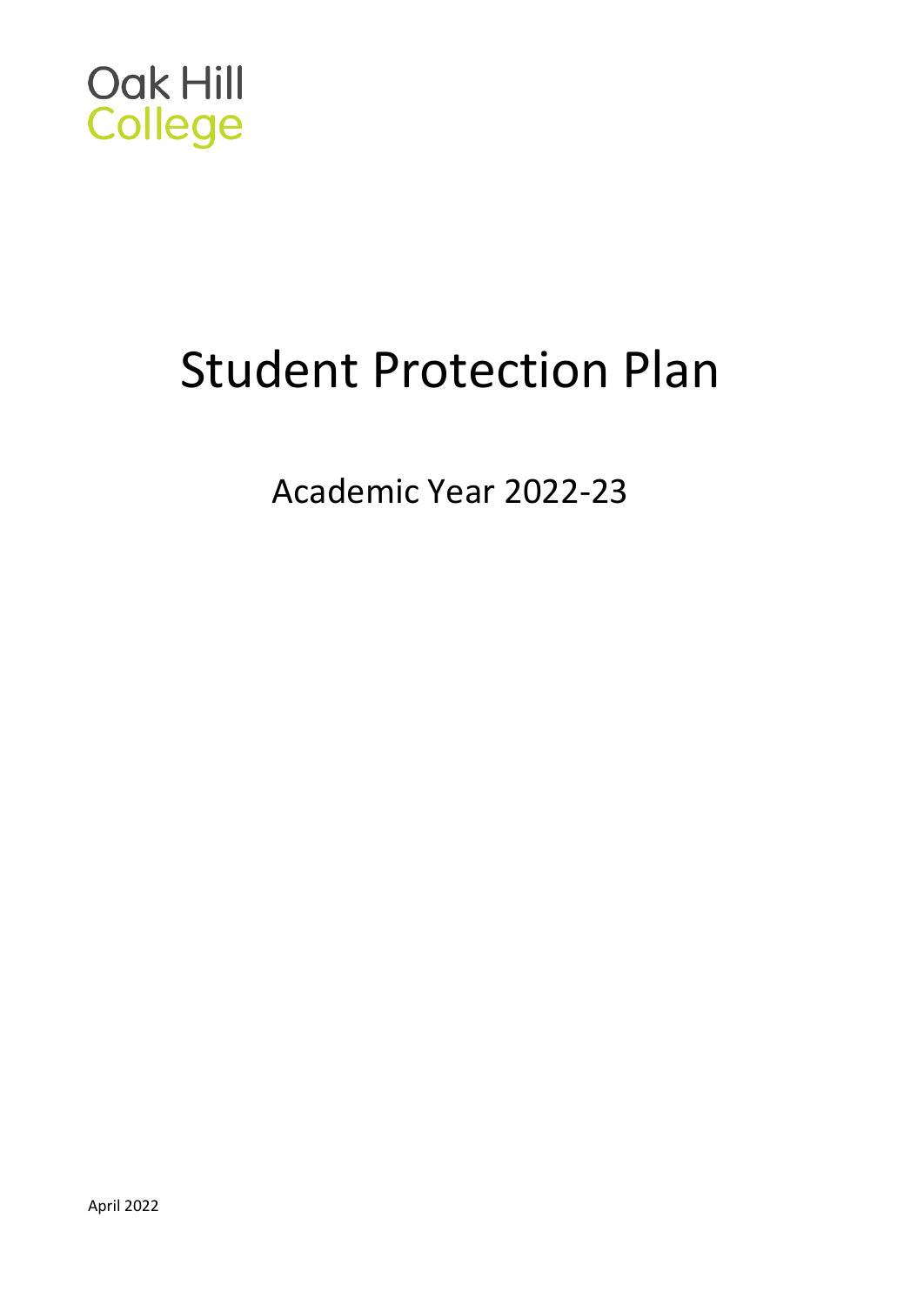

# Student Protection Plan

Academic Year 2022-23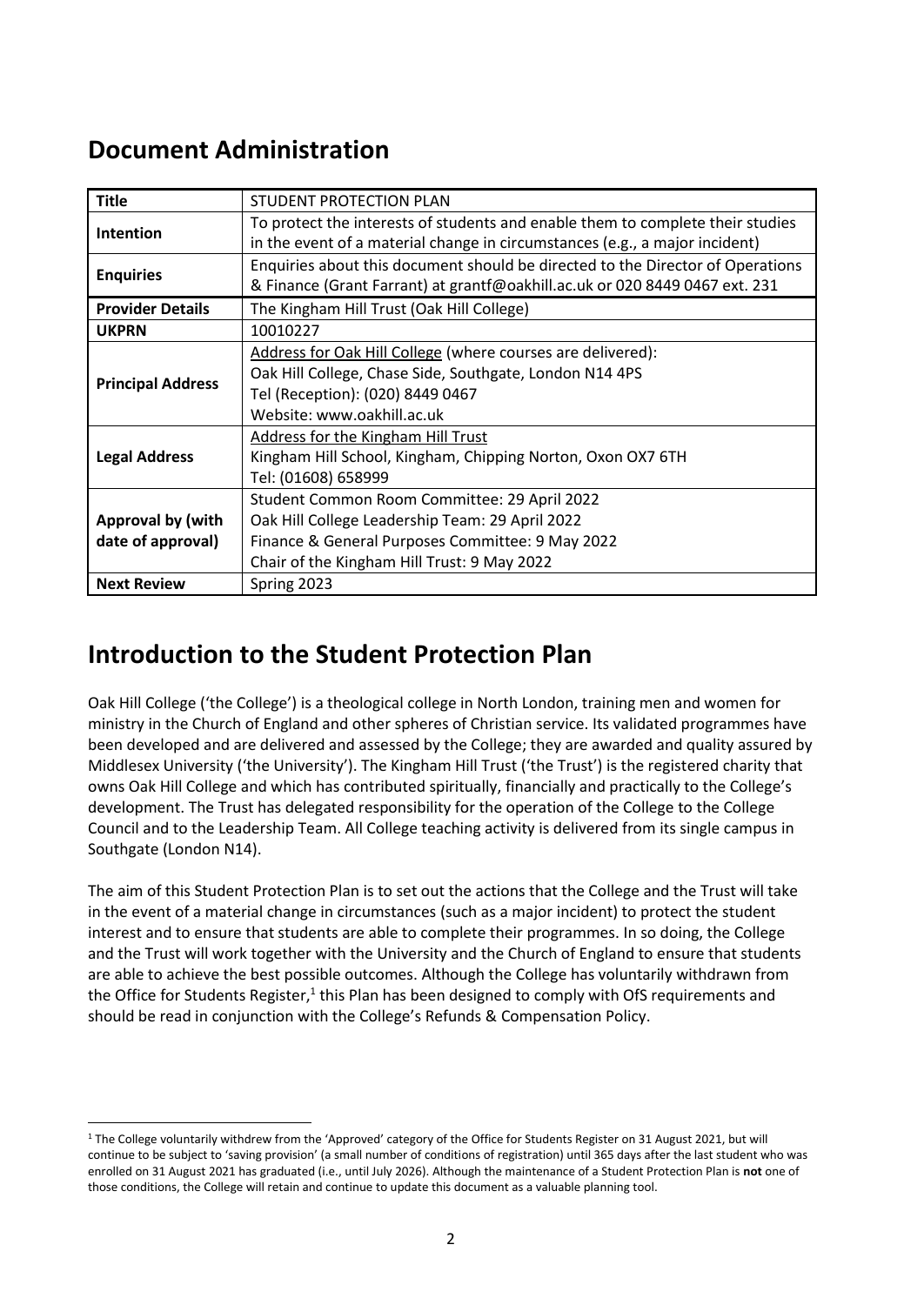### **Document Administration**

| <b>Title</b>             | STUDENT PROTECTION PLAN                                                        |
|--------------------------|--------------------------------------------------------------------------------|
|                          | To protect the interests of students and enable them to complete their studies |
| Intention                | in the event of a material change in circumstances (e.g., a major incident)    |
| <b>Enquiries</b>         | Enquiries about this document should be directed to the Director of Operations |
|                          | & Finance (Grant Farrant) at grantf@oakhill.ac.uk or 020 8449 0467 ext. 231    |
| <b>Provider Details</b>  | The Kingham Hill Trust (Oak Hill College)                                      |
| <b>UKPRN</b>             | 10010227                                                                       |
|                          | Address for Oak Hill College (where courses are delivered):                    |
| <b>Principal Address</b> | Oak Hill College, Chase Side, Southgate, London N14 4PS                        |
|                          | Tel (Reception): (020) 8449 0467                                               |
|                          | Website: www.oakhill.ac.uk                                                     |
|                          | Address for the Kingham Hill Trust                                             |
| <b>Legal Address</b>     | Kingham Hill School, Kingham, Chipping Norton, Oxon OX7 6TH                    |
|                          | Tel: (01608) 658999                                                            |
|                          | Student Common Room Committee: 29 April 2022                                   |
| Approval by (with        | Oak Hill College Leadership Team: 29 April 2022                                |
| date of approval)        | Finance & General Purposes Committee: 9 May 2022                               |
|                          | Chair of the Kingham Hill Trust: 9 May 2022                                    |
| <b>Next Review</b>       | Spring 2023                                                                    |

# **Introduction to the Student Protection Plan**

Oak Hill College ('the College') is a theological college in North London, training men and women for ministry in the Church of England and other spheres of Christian service. Its validated programmes have been developed and are delivered and assessed by the College; they are awarded and quality assured by Middlesex University ('the University'). The Kingham Hill Trust ('the Trust') is the registered charity that owns Oak Hill College and which has contributed spiritually, financially and practically to the College's development. The Trust has delegated responsibility for the operation of the College to the College Council and to the Leadership Team. All College teaching activity is delivered from its single campus in Southgate (London N14).

The aim of this Student Protection Plan is to set out the actions that the College and the Trust will take in the event of a material change in circumstances (such as a major incident) to protect the student interest and to ensure that students are able to complete their programmes. In so doing, the College and the Trust will work together with the University and the Church of England to ensure that students are able to achieve the best possible outcomes. Although the College has voluntarily withdrawn from the Office for Students Register,<sup>1</sup> this Plan has been designed to comply with OfS requirements and should be read in conjunction with the College's Refunds & Compensation Policy.

<sup>1</sup> The College voluntarily withdrew from the 'Approved' category of the Office for Students Register on 31 August 2021, but will continue to be subject to 'saving provision' (a small number of conditions of registration) until 365 days after the last student who was enrolled on 31 August 2021 has graduated (i.e., until July 2026). Although the maintenance of a Student Protection Plan is **not** one of those conditions, the College will retain and continue to update this document as a valuable planning tool.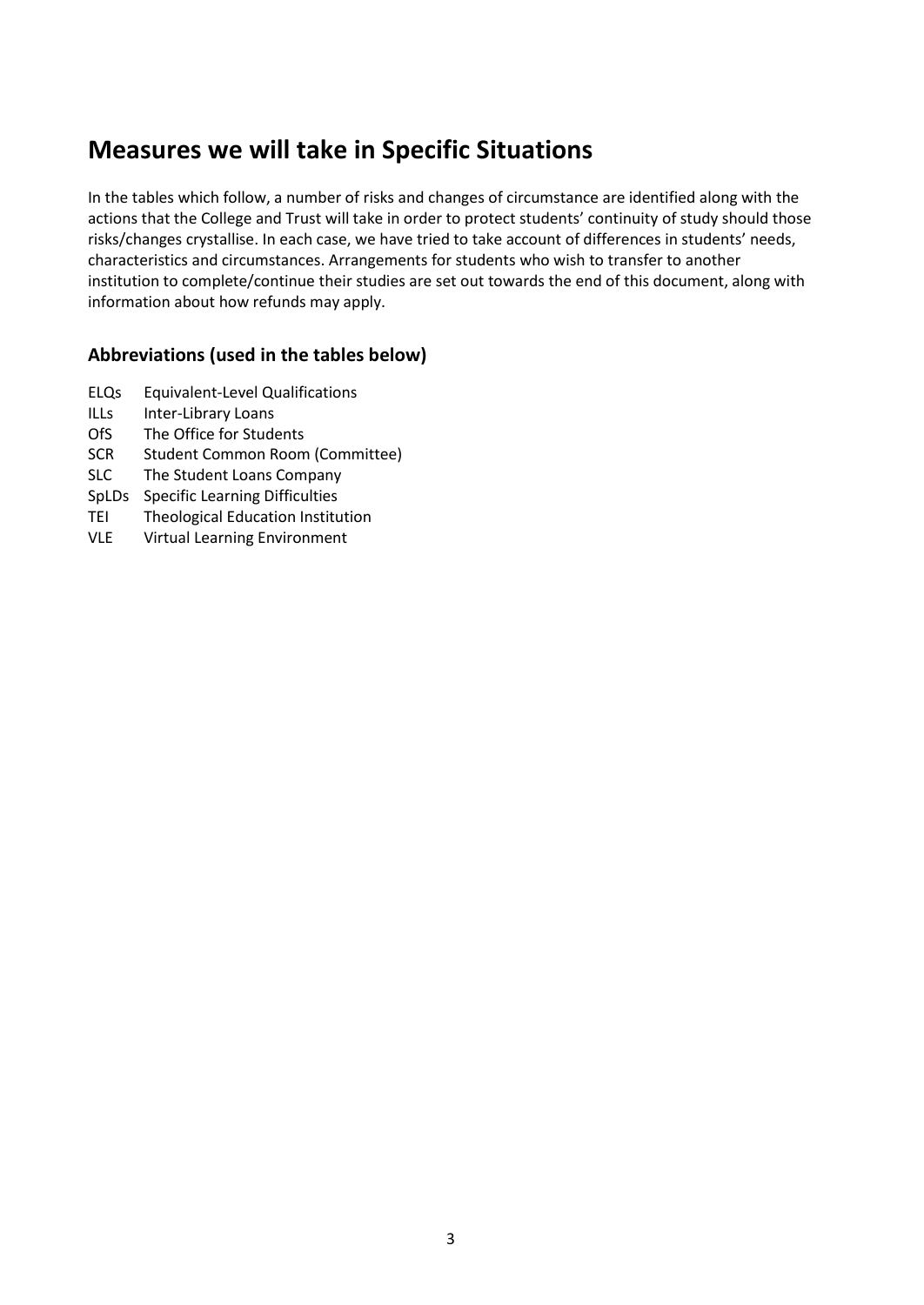### **Measures we will take in Specific Situations**

In the tables which follow, a number of risks and changes of circumstance are identified along with the actions that the College and Trust will take in order to protect students' continuity of study should those risks/changes crystallise. In each case, we have tried to take account of differences in students' needs, characteristics and circumstances. Arrangements for students who wish to transfer to another institution to complete/continue their studies are set out towards the end of this document, along with information about how refunds may apply.

#### **Abbreviations (used in the tables below)**

- ELQs Equivalent-Level Qualifications
- ILLs Inter-Library Loans
- OfS The Office for Students
- SCR Student Common Room (Committee)
- SLC The Student Loans Company
- SpLDs Specific Learning Difficulties
- TEI Theological Education Institution
- VLE Virtual Learning Environment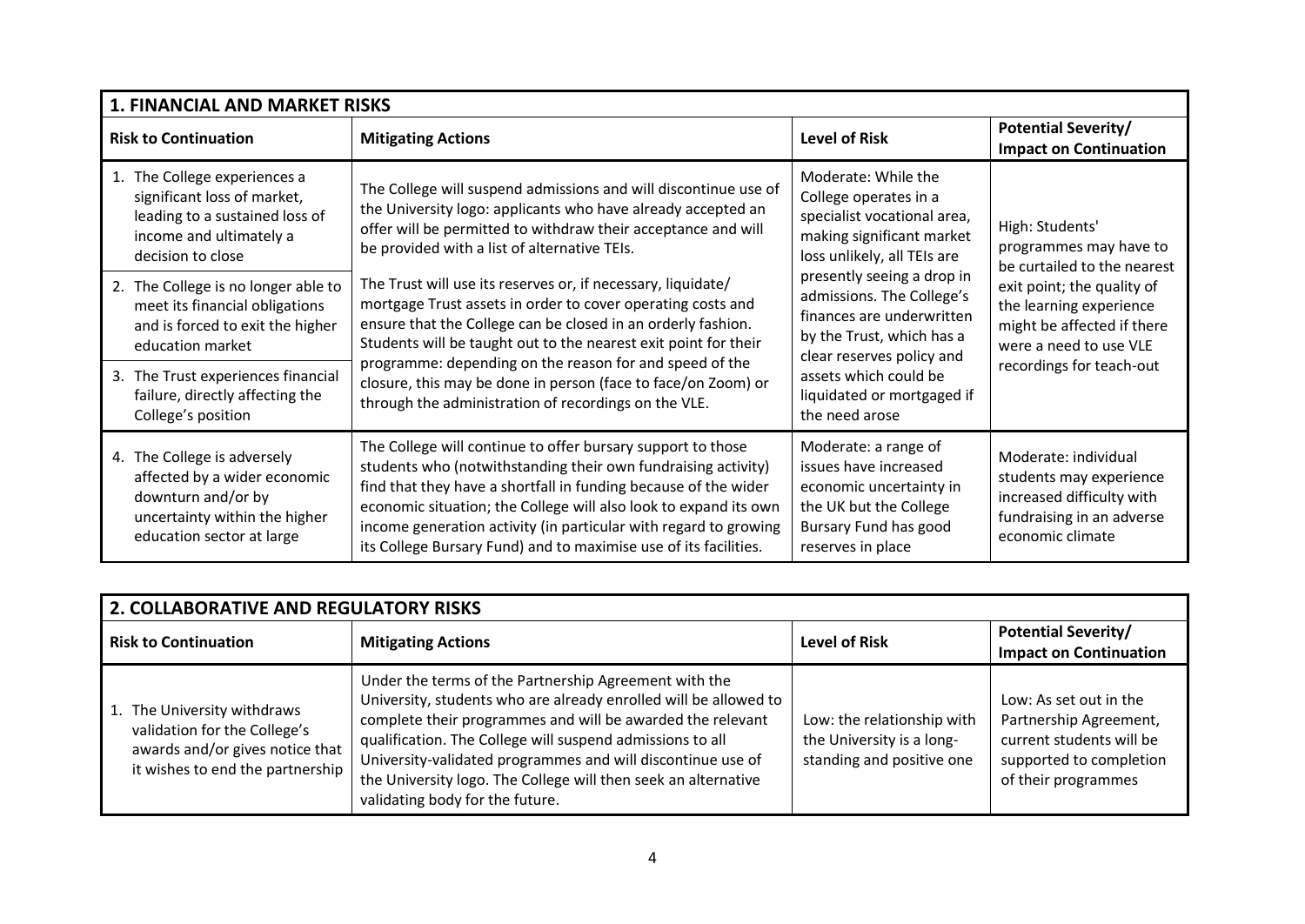| <b>1. FINANCIAL AND MARKET RISKS</b>                                                                                                            |                                                                                                                                                                                                                                                                                                                                                                                                             |                                                                                                                                                  |                                                                                                                               |
|-------------------------------------------------------------------------------------------------------------------------------------------------|-------------------------------------------------------------------------------------------------------------------------------------------------------------------------------------------------------------------------------------------------------------------------------------------------------------------------------------------------------------------------------------------------------------|--------------------------------------------------------------------------------------------------------------------------------------------------|-------------------------------------------------------------------------------------------------------------------------------|
| <b>Risk to Continuation</b>                                                                                                                     | <b>Mitigating Actions</b>                                                                                                                                                                                                                                                                                                                                                                                   | <b>Level of Risk</b>                                                                                                                             | <b>Potential Severity/</b><br><b>Impact on Continuation</b>                                                                   |
| 1. The College experiences a<br>significant loss of market,<br>leading to a sustained loss of<br>income and ultimately a<br>decision to close   | The College will suspend admissions and will discontinue use of<br>the University logo: applicants who have already accepted an<br>offer will be permitted to withdraw their acceptance and will<br>be provided with a list of alternative TEIs.                                                                                                                                                            | Moderate: While the<br>College operates in a<br>specialist vocational area,<br>making significant market<br>loss unlikely, all TEIs are          | High: Students'<br>programmes may have to<br>be curtailed to the nearest                                                      |
| 2. The College is no longer able to<br>meet its financial obligations<br>and is forced to exit the higher<br>education market                   | The Trust will use its reserves or, if necessary, liquidate/<br>mortgage Trust assets in order to cover operating costs and<br>ensure that the College can be closed in an orderly fashion.<br>Students will be taught out to the nearest exit point for their                                                                                                                                              | presently seeing a drop in<br>admissions. The College's<br>finances are underwritten<br>by the Trust, which has a<br>clear reserves policy and   | exit point; the quality of<br>the learning experience<br>might be affected if there<br>were a need to use VLE                 |
| 3. The Trust experiences financial<br>failure, directly affecting the<br>College's position                                                     | programme: depending on the reason for and speed of the<br>closure, this may be done in person (face to face/on Zoom) or<br>through the administration of recordings on the VLE.                                                                                                                                                                                                                            | assets which could be<br>liquidated or mortgaged if<br>the need arose                                                                            | recordings for teach-out                                                                                                      |
| 4. The College is adversely<br>affected by a wider economic<br>downturn and/or by<br>uncertainty within the higher<br>education sector at large | The College will continue to offer bursary support to those<br>students who (notwithstanding their own fundraising activity)<br>find that they have a shortfall in funding because of the wider<br>economic situation; the College will also look to expand its own<br>income generation activity (in particular with regard to growing<br>its College Bursary Fund) and to maximise use of its facilities. | Moderate: a range of<br>issues have increased<br>economic uncertainty in<br>the UK but the College<br>Bursary Fund has good<br>reserves in place | Moderate: individual<br>students may experience<br>increased difficulty with<br>fundraising in an adverse<br>economic climate |

| 2. COLLABORATIVE AND REGULATORY RISKS                                                                                              |                                                                                                                                                                                                                                                                                                                                                                                                                          |                                                                                      |                                                                                                                                |
|------------------------------------------------------------------------------------------------------------------------------------|--------------------------------------------------------------------------------------------------------------------------------------------------------------------------------------------------------------------------------------------------------------------------------------------------------------------------------------------------------------------------------------------------------------------------|--------------------------------------------------------------------------------------|--------------------------------------------------------------------------------------------------------------------------------|
| <b>Risk to Continuation</b>                                                                                                        | <b>Mitigating Actions</b>                                                                                                                                                                                                                                                                                                                                                                                                | <b>Level of Risk</b>                                                                 | <b>Potential Severity/</b><br><b>Impact on Continuation</b>                                                                    |
| 1. The University withdraws<br>validation for the College's<br>awards and/or gives notice that<br>it wishes to end the partnership | Under the terms of the Partnership Agreement with the<br>University, students who are already enrolled will be allowed to<br>complete their programmes and will be awarded the relevant<br>qualification. The College will suspend admissions to all<br>University-validated programmes and will discontinue use of<br>the University logo. The College will then seek an alternative<br>validating body for the future. | Low: the relationship with<br>the University is a long-<br>standing and positive one | Low: As set out in the<br>Partnership Agreement,<br>current students will be<br>supported to completion<br>of their programmes |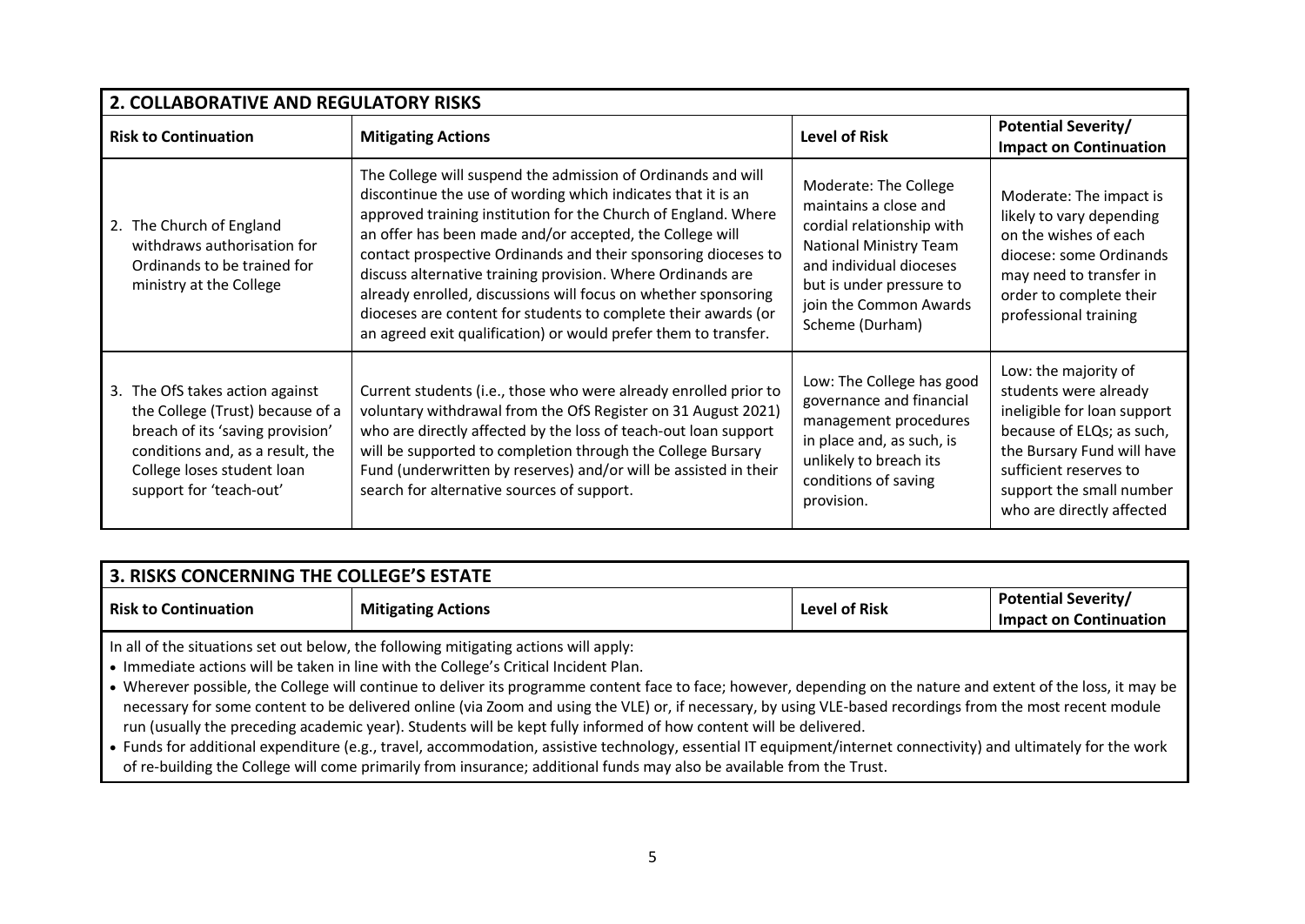| 2. COLLABORATIVE AND REGULATORY RISKS                                                                                                                                                                |                                                                                                                                                                                                                                                                                                                                                                                                                                                                                                                                                                                                    |                                                                                                                                                                                                           |                                                                                                                                                                                                                            |
|------------------------------------------------------------------------------------------------------------------------------------------------------------------------------------------------------|----------------------------------------------------------------------------------------------------------------------------------------------------------------------------------------------------------------------------------------------------------------------------------------------------------------------------------------------------------------------------------------------------------------------------------------------------------------------------------------------------------------------------------------------------------------------------------------------------|-----------------------------------------------------------------------------------------------------------------------------------------------------------------------------------------------------------|----------------------------------------------------------------------------------------------------------------------------------------------------------------------------------------------------------------------------|
| <b>Risk to Continuation</b>                                                                                                                                                                          | <b>Mitigating Actions</b>                                                                                                                                                                                                                                                                                                                                                                                                                                                                                                                                                                          | <b>Level of Risk</b>                                                                                                                                                                                      | <b>Potential Severity/</b><br><b>Impact on Continuation</b>                                                                                                                                                                |
| 2. The Church of England<br>withdraws authorisation for<br>Ordinands to be trained for<br>ministry at the College                                                                                    | The College will suspend the admission of Ordinands and will<br>discontinue the use of wording which indicates that it is an<br>approved training institution for the Church of England. Where<br>an offer has been made and/or accepted, the College will<br>contact prospective Ordinands and their sponsoring dioceses to<br>discuss alternative training provision. Where Ordinands are<br>already enrolled, discussions will focus on whether sponsoring<br>dioceses are content for students to complete their awards (or<br>an agreed exit qualification) or would prefer them to transfer. | Moderate: The College<br>maintains a close and<br>cordial relationship with<br>National Ministry Team<br>and individual dioceses<br>but is under pressure to<br>join the Common Awards<br>Scheme (Durham) | Moderate: The impact is<br>likely to vary depending<br>on the wishes of each<br>diocese: some Ordinands<br>may need to transfer in<br>order to complete their<br>professional training                                     |
| 3. The OfS takes action against<br>the College (Trust) because of a<br>breach of its 'saving provision'<br>conditions and, as a result, the<br>College loses student loan<br>support for 'teach-out' | Current students (i.e., those who were already enrolled prior to<br>voluntary withdrawal from the OfS Register on 31 August 2021)<br>who are directly affected by the loss of teach-out loan support<br>will be supported to completion through the College Bursary<br>Fund (underwritten by reserves) and/or will be assisted in their<br>search for alternative sources of support.                                                                                                                                                                                                              | Low: The College has good<br>governance and financial<br>management procedures<br>in place and, as such, is<br>unlikely to breach its<br>conditions of saving<br>provision.                               | Low: the majority of<br>students were already<br>ineligible for loan support<br>because of ELQs; as such,<br>the Bursary Fund will have<br>sufficient reserves to<br>support the small number<br>who are directly affected |

| 3. RISKS CONCERNING THE COLLEGE'S ESTATE                                             |                           |               |                                                             |
|--------------------------------------------------------------------------------------|---------------------------|---------------|-------------------------------------------------------------|
| <b>Risk to Continuation</b>                                                          | <b>Mitigating Actions</b> | Level of Risk | <b>Potential Severity/</b><br><b>Impact on Continuation</b> |
| In all of the situations set out below, the following mitigating actions will apply: |                           |               |                                                             |

• Immediate actions will be taken in line with the College's Critical Incident Plan.

• Wherever possible, the College will continue to deliver its programme content face to face; however, depending on the nature and extent of the loss, it may be necessary for some content to be delivered online (via Zoom and using the VLE) or, if necessary, by using VLE-based recordings from the most recent module run (usually the preceding academic year). Students will be kept fully informed of how content will be delivered.

• Funds for additional expenditure (e.g., travel, accommodation, assistive technology, essential IT equipment/internet connectivity) and ultimately for the work of re-building the College will come primarily from insurance; additional funds may also be available from the Trust.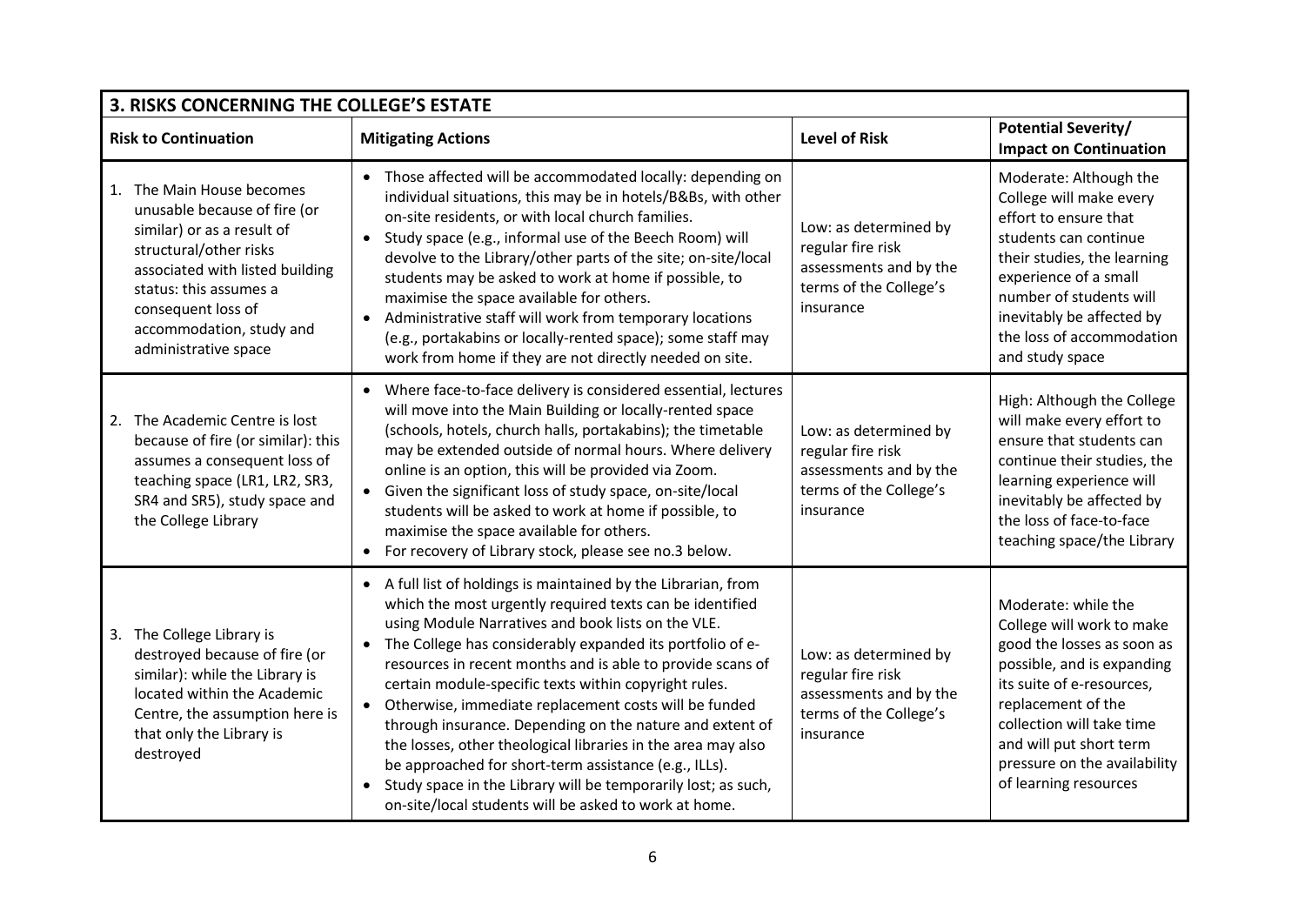| 3. RISKS CONCERNING THE COLLEGE'S ESTATE |                                                                                                                                                                                                                                                          |                                                                                                                                                                                                                                                                                                                                                                                                                                                                                                                                                                                                                                                                                                                                                           |                                                                                                             |                                                                                                                                                                                                                                                                                  |
|------------------------------------------|----------------------------------------------------------------------------------------------------------------------------------------------------------------------------------------------------------------------------------------------------------|-----------------------------------------------------------------------------------------------------------------------------------------------------------------------------------------------------------------------------------------------------------------------------------------------------------------------------------------------------------------------------------------------------------------------------------------------------------------------------------------------------------------------------------------------------------------------------------------------------------------------------------------------------------------------------------------------------------------------------------------------------------|-------------------------------------------------------------------------------------------------------------|----------------------------------------------------------------------------------------------------------------------------------------------------------------------------------------------------------------------------------------------------------------------------------|
|                                          | <b>Risk to Continuation</b>                                                                                                                                                                                                                              | <b>Mitigating Actions</b>                                                                                                                                                                                                                                                                                                                                                                                                                                                                                                                                                                                                                                                                                                                                 | <b>Level of Risk</b>                                                                                        | <b>Potential Severity/</b><br><b>Impact on Continuation</b>                                                                                                                                                                                                                      |
|                                          | 1. The Main House becomes<br>unusable because of fire (or<br>similar) or as a result of<br>structural/other risks<br>associated with listed building<br>status: this assumes a<br>consequent loss of<br>accommodation, study and<br>administrative space | • Those affected will be accommodated locally: depending on<br>individual situations, this may be in hotels/B&Bs, with other<br>on-site residents, or with local church families.<br>Study space (e.g., informal use of the Beech Room) will<br>devolve to the Library/other parts of the site; on-site/local<br>students may be asked to work at home if possible, to<br>maximise the space available for others.<br>• Administrative staff will work from temporary locations<br>(e.g., portakabins or locally-rented space); some staff may<br>work from home if they are not directly needed on site.                                                                                                                                                 | Low: as determined by<br>regular fire risk<br>assessments and by the<br>terms of the College's<br>insurance | Moderate: Although the<br>College will make every<br>effort to ensure that<br>students can continue<br>their studies, the learning<br>experience of a small<br>number of students will<br>inevitably be affected by<br>the loss of accommodation<br>and study space              |
|                                          | 2. The Academic Centre is lost<br>because of fire (or similar): this<br>assumes a consequent loss of<br>teaching space (LR1, LR2, SR3,<br>SR4 and SR5), study space and<br>the College Library                                                           | • Where face-to-face delivery is considered essential, lectures<br>will move into the Main Building or locally-rented space<br>(schools, hotels, church halls, portakabins); the timetable<br>may be extended outside of normal hours. Where delivery<br>online is an option, this will be provided via Zoom.<br>Given the significant loss of study space, on-site/local<br>students will be asked to work at home if possible, to<br>maximise the space available for others.<br>• For recovery of Library stock, please see no.3 below.                                                                                                                                                                                                                | Low: as determined by<br>regular fire risk<br>assessments and by the<br>terms of the College's<br>insurance | High: Although the College<br>will make every effort to<br>ensure that students can<br>continue their studies, the<br>learning experience will<br>inevitably be affected by<br>the loss of face-to-face<br>teaching space/the Library                                            |
|                                          | 3. The College Library is<br>destroyed because of fire (or<br>similar): while the Library is<br>located within the Academic<br>Centre, the assumption here is<br>that only the Library is<br>destroyed                                                   | • A full list of holdings is maintained by the Librarian, from<br>which the most urgently required texts can be identified<br>using Module Narratives and book lists on the VLE.<br>The College has considerably expanded its portfolio of e-<br>resources in recent months and is able to provide scans of<br>certain module-specific texts within copyright rules.<br>Otherwise, immediate replacement costs will be funded<br>$\bullet$<br>through insurance. Depending on the nature and extent of<br>the losses, other theological libraries in the area may also<br>be approached for short-term assistance (e.g., ILLs).<br>Study space in the Library will be temporarily lost; as such,<br>on-site/local students will be asked to work at home. | Low: as determined by<br>regular fire risk<br>assessments and by the<br>terms of the College's<br>insurance | Moderate: while the<br>College will work to make<br>good the losses as soon as<br>possible, and is expanding<br>its suite of e-resources,<br>replacement of the<br>collection will take time<br>and will put short term<br>pressure on the availability<br>of learning resources |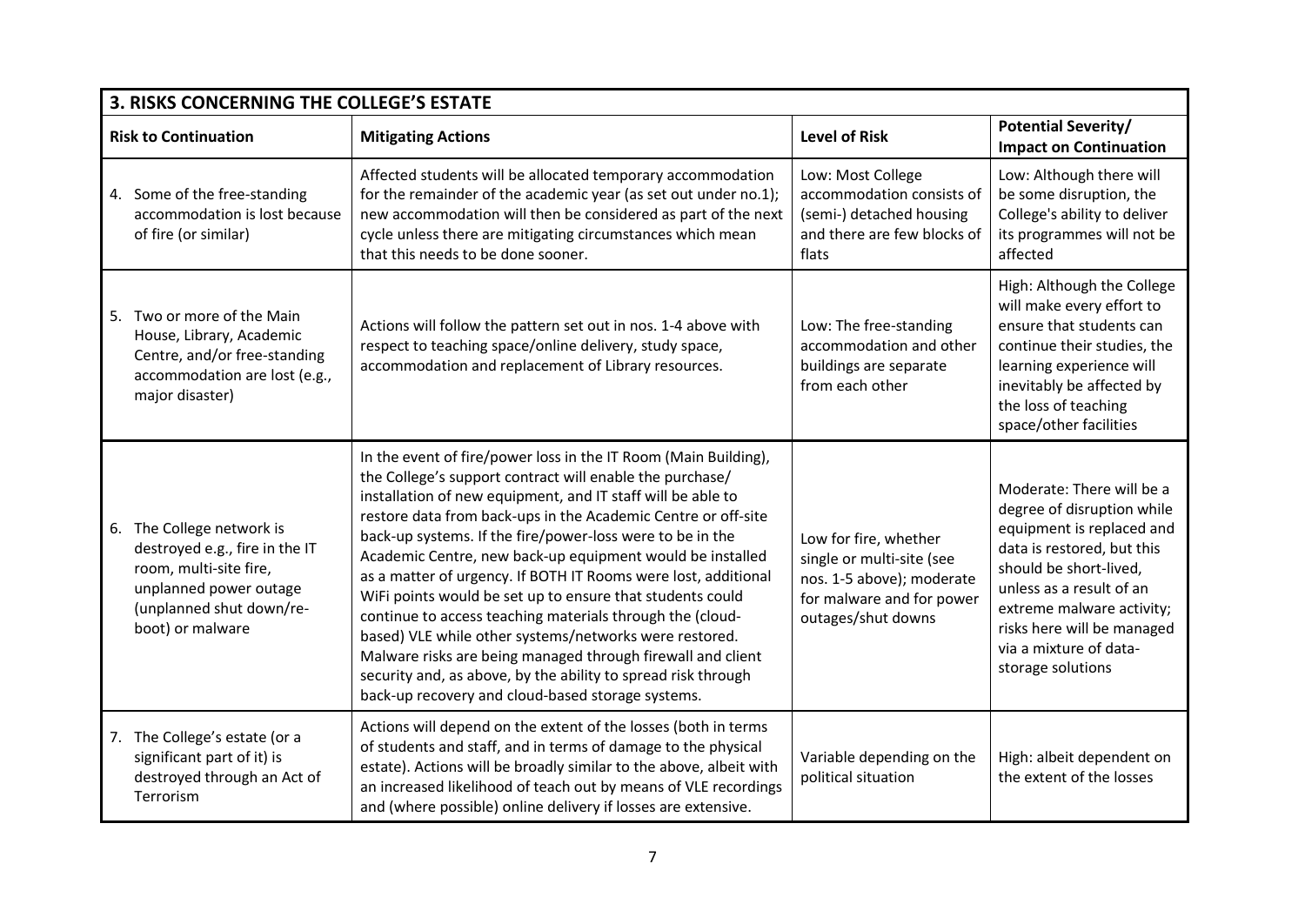| 3. RISKS CONCERNING THE COLLEGE'S ESTATE                                                                                                                           |                                                                                                                                                                                                                                                                                                                                                                                                                                                                                                                                                                                                                                                                                                                                                                                                                                  |                                                                                                                                    |                                                                                                                                                                                                                                                                                    |
|--------------------------------------------------------------------------------------------------------------------------------------------------------------------|----------------------------------------------------------------------------------------------------------------------------------------------------------------------------------------------------------------------------------------------------------------------------------------------------------------------------------------------------------------------------------------------------------------------------------------------------------------------------------------------------------------------------------------------------------------------------------------------------------------------------------------------------------------------------------------------------------------------------------------------------------------------------------------------------------------------------------|------------------------------------------------------------------------------------------------------------------------------------|------------------------------------------------------------------------------------------------------------------------------------------------------------------------------------------------------------------------------------------------------------------------------------|
| <b>Risk to Continuation</b>                                                                                                                                        | <b>Mitigating Actions</b>                                                                                                                                                                                                                                                                                                                                                                                                                                                                                                                                                                                                                                                                                                                                                                                                        | <b>Level of Risk</b>                                                                                                               | <b>Potential Severity/</b><br><b>Impact on Continuation</b>                                                                                                                                                                                                                        |
| 4. Some of the free-standing<br>accommodation is lost because<br>of fire (or similar)                                                                              | Affected students will be allocated temporary accommodation<br>for the remainder of the academic year (as set out under no.1);<br>new accommodation will then be considered as part of the next<br>cycle unless there are mitigating circumstances which mean<br>that this needs to be done sooner.                                                                                                                                                                                                                                                                                                                                                                                                                                                                                                                              | Low: Most College<br>accommodation consists of<br>(semi-) detached housing<br>and there are few blocks of<br>flats                 | Low: Although there will<br>be some disruption, the<br>College's ability to deliver<br>its programmes will not be<br>affected                                                                                                                                                      |
| 5. Two or more of the Main<br>House, Library, Academic<br>Centre, and/or free-standing<br>accommodation are lost (e.g.,<br>major disaster)                         | Actions will follow the pattern set out in nos. 1-4 above with<br>respect to teaching space/online delivery, study space,<br>accommodation and replacement of Library resources.                                                                                                                                                                                                                                                                                                                                                                                                                                                                                                                                                                                                                                                 | Low: The free-standing<br>accommodation and other<br>buildings are separate<br>from each other                                     | High: Although the College<br>will make every effort to<br>ensure that students can<br>continue their studies, the<br>learning experience will<br>inevitably be affected by<br>the loss of teaching<br>space/other facilities                                                      |
| The College network is<br>6.<br>destroyed e.g., fire in the IT<br>room, multi-site fire,<br>unplanned power outage<br>(unplanned shut down/re-<br>boot) or malware | In the event of fire/power loss in the IT Room (Main Building),<br>the College's support contract will enable the purchase/<br>installation of new equipment, and IT staff will be able to<br>restore data from back-ups in the Academic Centre or off-site<br>back-up systems. If the fire/power-loss were to be in the<br>Academic Centre, new back-up equipment would be installed<br>as a matter of urgency. If BOTH IT Rooms were lost, additional<br>WiFi points would be set up to ensure that students could<br>continue to access teaching materials through the (cloud-<br>based) VLE while other systems/networks were restored.<br>Malware risks are being managed through firewall and client<br>security and, as above, by the ability to spread risk through<br>back-up recovery and cloud-based storage systems. | Low for fire, whether<br>single or multi-site (see<br>nos. 1-5 above); moderate<br>for malware and for power<br>outages/shut downs | Moderate: There will be a<br>degree of disruption while<br>equipment is replaced and<br>data is restored, but this<br>should be short-lived,<br>unless as a result of an<br>extreme malware activity;<br>risks here will be managed<br>via a mixture of data-<br>storage solutions |
| 7. The College's estate (or a<br>significant part of it) is<br>destroyed through an Act of<br>Terrorism                                                            | Actions will depend on the extent of the losses (both in terms<br>of students and staff, and in terms of damage to the physical<br>estate). Actions will be broadly similar to the above, albeit with<br>an increased likelihood of teach out by means of VLE recordings<br>and (where possible) online delivery if losses are extensive.                                                                                                                                                                                                                                                                                                                                                                                                                                                                                        | Variable depending on the<br>political situation                                                                                   | High: albeit dependent on<br>the extent of the losses                                                                                                                                                                                                                              |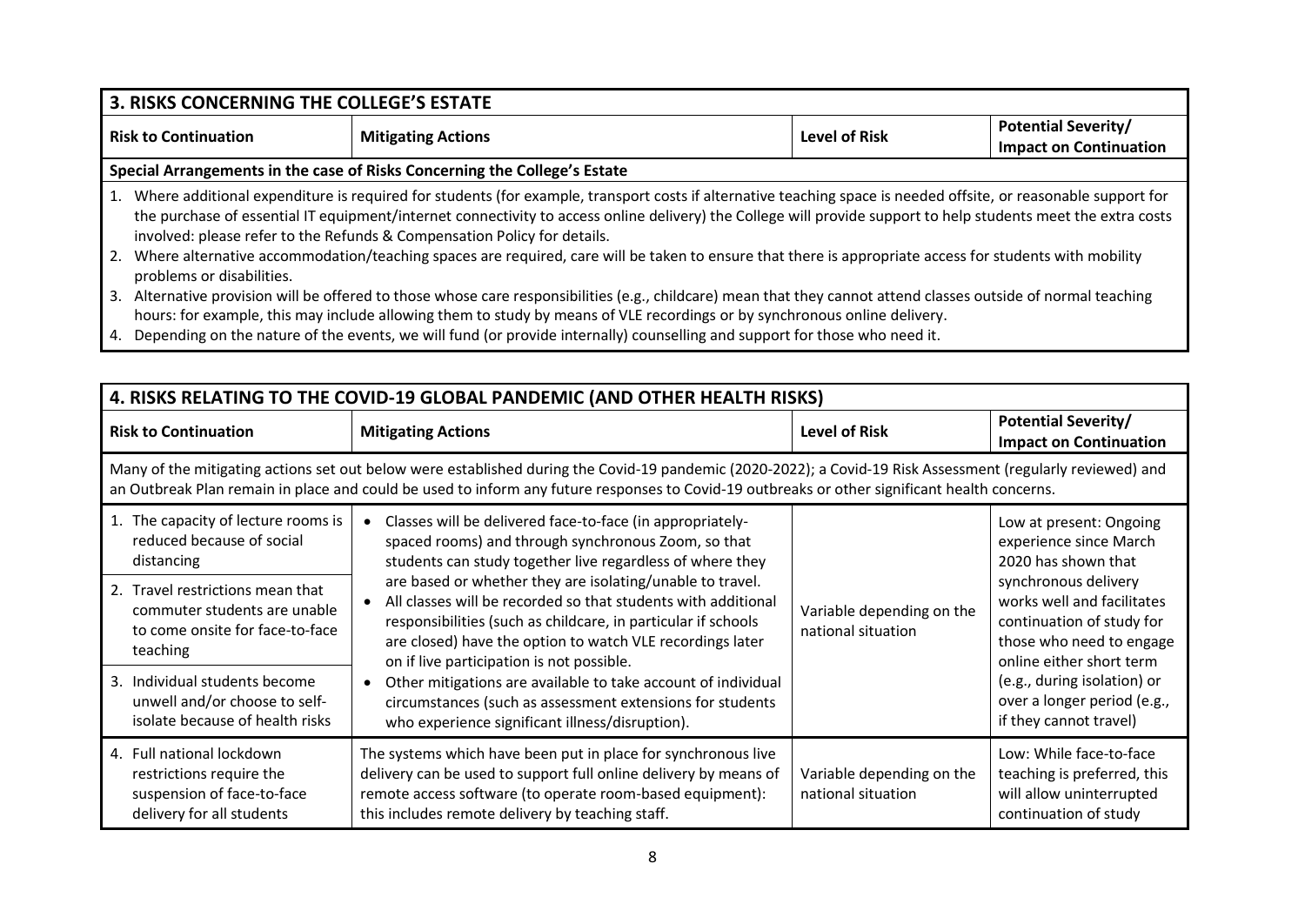#### **3. RISKS CONCERNING THE COLLEGE'S ESTATE** Risk to Continuation **Rights and Mitigating Actions** Level of Risk **Risk Potential Severity Impact on Continuation Special Arrangements in the case of Risks Concerning the College's Estate** 1. Where additional expenditure is required for students (for example, transport costs if alternative teaching space is needed offsite, or reasonable support for the purchase of essential IT equipment/internet connectivity to access online delivery) the College will provide support to help students meet the extra costs involved: please refer to the Refunds & Compensation Policy for details. 2. Where alternative accommodation/teaching spaces are required, care will be taken to ensure that there is appropriate access for students with mobility problems or disabilities. 3. Alternative provision will be offered to those whose care responsibilities (e.g., childcare) mean that they cannot attend classes outside of normal teaching hours: for example, this may include allowing them to study by means of VLE recordings or by synchronous online delivery.

4. Depending on the nature of the events, we will fund (or provide internally) counselling and support for those who need it.

| 4. RISKS RELATING TO THE COVID-19 GLOBAL PANDEMIC (AND OTHER HEALTH RISKS)                                       |                                                                                                                                                                                                                                                                                                              |                                                 |                                                                                                                                         |
|------------------------------------------------------------------------------------------------------------------|--------------------------------------------------------------------------------------------------------------------------------------------------------------------------------------------------------------------------------------------------------------------------------------------------------------|-------------------------------------------------|-----------------------------------------------------------------------------------------------------------------------------------------|
| <b>Risk to Continuation</b>                                                                                      | <b>Mitigating Actions</b>                                                                                                                                                                                                                                                                                    | <b>Level of Risk</b>                            | <b>Potential Severity/</b><br><b>Impact on Continuation</b>                                                                             |
|                                                                                                                  | Many of the mitigating actions set out below were established during the Covid-19 pandemic (2020-2022); a Covid-19 Risk Assessment (regularly reviewed) and<br>an Outbreak Plan remain in place and could be used to inform any future responses to Covid-19 outbreaks or other significant health concerns. |                                                 |                                                                                                                                         |
| 1. The capacity of lecture rooms is<br>reduced because of social<br>distancing                                   | Classes will be delivered face-to-face (in appropriately-<br>spaced rooms) and through synchronous Zoom, so that<br>students can study together live regardless of where they                                                                                                                                |                                                 | Low at present: Ongoing<br>experience since March<br>2020 has shown that                                                                |
| 2. Travel restrictions mean that<br>commuter students are unable<br>to come onsite for face-to-face<br>teaching  | are based or whether they are isolating/unable to travel.<br>All classes will be recorded so that students with additional<br>responsibilities (such as childcare, in particular if schools<br>are closed) have the option to watch VLE recordings later<br>on if live participation is not possible.        | Variable depending on the<br>national situation | synchronous delivery<br>works well and facilitates<br>continuation of study for<br>those who need to engage<br>online either short term |
| Individual students become<br>3.<br>unwell and/or choose to self-<br>isolate because of health risks             | Other mitigations are available to take account of individual<br>$\bullet$<br>circumstances (such as assessment extensions for students<br>who experience significant illness/disruption).                                                                                                                   |                                                 | (e.g., during isolation) or<br>over a longer period (e.g.,<br>if they cannot travel)                                                    |
| 4. Full national lockdown<br>restrictions require the<br>suspension of face-to-face<br>delivery for all students | The systems which have been put in place for synchronous live<br>delivery can be used to support full online delivery by means of<br>remote access software (to operate room-based equipment):<br>this includes remote delivery by teaching staff.                                                           | Variable depending on the<br>national situation | Low: While face-to-face<br>teaching is preferred, this<br>will allow uninterrupted<br>continuation of study                             |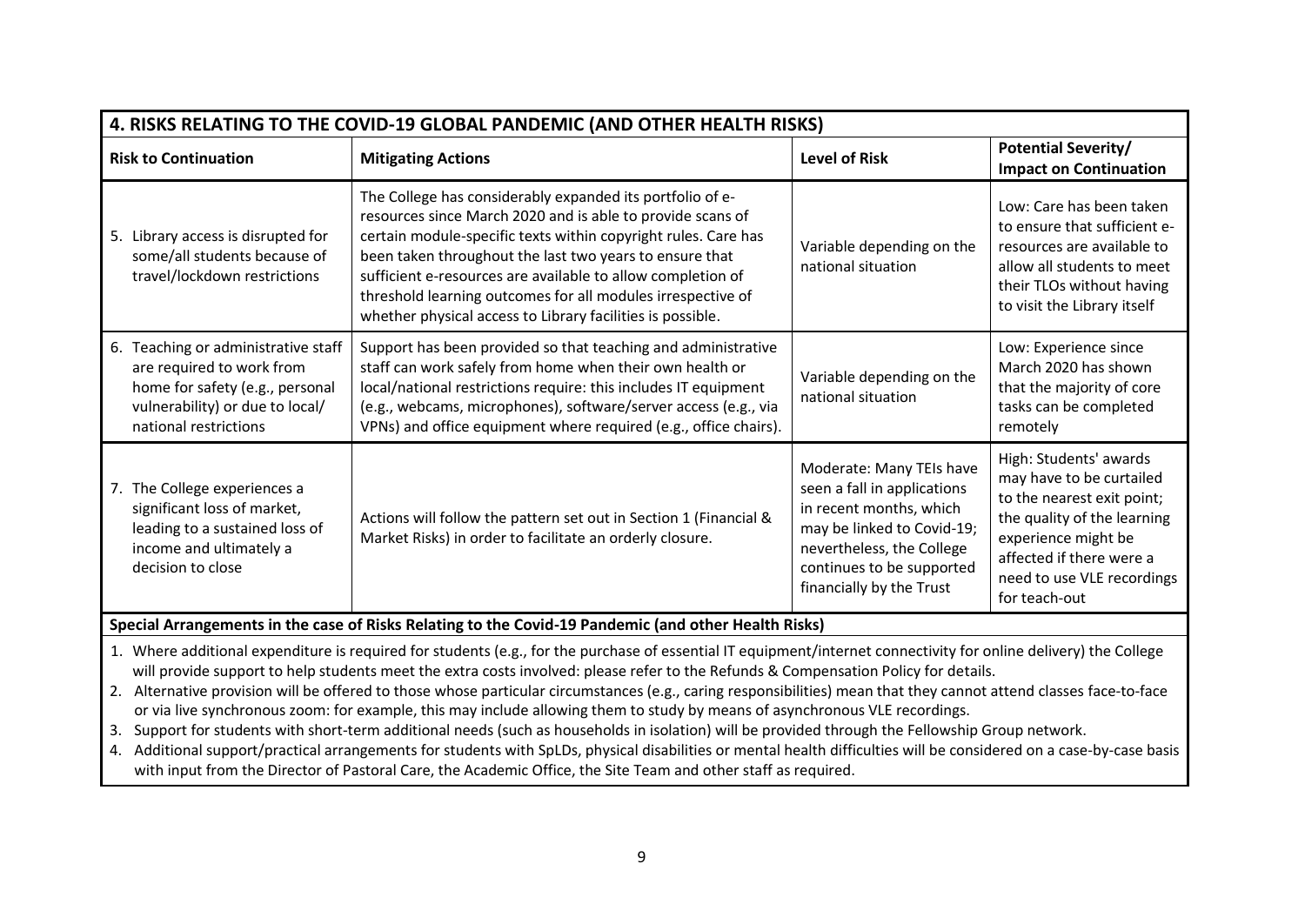| 4. RISKS RELATING TO THE COVID-19 GLOBAL PANDEMIC (AND OTHER HEALTH RISKS)                                                                                                                                                                                                                                                                                                                                                                                                                                                                                                                                                                                                                                                                                                                                                                                                                                                                                                                                                                                      |                                                                                                                                                                                                                                                                                                                                                                                                                                                  |                                                                                                                                                                                                        |                                                                                                                                                                                                                   |
|-----------------------------------------------------------------------------------------------------------------------------------------------------------------------------------------------------------------------------------------------------------------------------------------------------------------------------------------------------------------------------------------------------------------------------------------------------------------------------------------------------------------------------------------------------------------------------------------------------------------------------------------------------------------------------------------------------------------------------------------------------------------------------------------------------------------------------------------------------------------------------------------------------------------------------------------------------------------------------------------------------------------------------------------------------------------|--------------------------------------------------------------------------------------------------------------------------------------------------------------------------------------------------------------------------------------------------------------------------------------------------------------------------------------------------------------------------------------------------------------------------------------------------|--------------------------------------------------------------------------------------------------------------------------------------------------------------------------------------------------------|-------------------------------------------------------------------------------------------------------------------------------------------------------------------------------------------------------------------|
| <b>Risk to Continuation</b>                                                                                                                                                                                                                                                                                                                                                                                                                                                                                                                                                                                                                                                                                                                                                                                                                                                                                                                                                                                                                                     | <b>Mitigating Actions</b>                                                                                                                                                                                                                                                                                                                                                                                                                        | <b>Level of Risk</b>                                                                                                                                                                                   | <b>Potential Severity/</b><br><b>Impact on Continuation</b>                                                                                                                                                       |
| 5. Library access is disrupted for<br>some/all students because of<br>travel/lockdown restrictions                                                                                                                                                                                                                                                                                                                                                                                                                                                                                                                                                                                                                                                                                                                                                                                                                                                                                                                                                              | The College has considerably expanded its portfolio of e-<br>resources since March 2020 and is able to provide scans of<br>certain module-specific texts within copyright rules. Care has<br>been taken throughout the last two years to ensure that<br>sufficient e-resources are available to allow completion of<br>threshold learning outcomes for all modules irrespective of<br>whether physical access to Library facilities is possible. | Variable depending on the<br>national situation                                                                                                                                                        | Low: Care has been taken<br>to ensure that sufficient e-<br>resources are available to<br>allow all students to meet<br>their TLOs without having<br>to visit the Library itself                                  |
| 6. Teaching or administrative staff<br>are required to work from<br>home for safety (e.g., personal<br>vulnerability) or due to local/<br>national restrictions                                                                                                                                                                                                                                                                                                                                                                                                                                                                                                                                                                                                                                                                                                                                                                                                                                                                                                 | Support has been provided so that teaching and administrative<br>staff can work safely from home when their own health or<br>local/national restrictions require: this includes IT equipment<br>(e.g., webcams, microphones), software/server access (e.g., via<br>VPNs) and office equipment where required (e.g., office chairs).                                                                                                              | Variable depending on the<br>national situation                                                                                                                                                        | Low: Experience since<br>March 2020 has shown<br>that the majority of core<br>tasks can be completed<br>remotely                                                                                                  |
| 7. The College experiences a<br>significant loss of market,<br>leading to a sustained loss of<br>income and ultimately a<br>decision to close                                                                                                                                                                                                                                                                                                                                                                                                                                                                                                                                                                                                                                                                                                                                                                                                                                                                                                                   | Actions will follow the pattern set out in Section 1 (Financial &<br>Market Risks) in order to facilitate an orderly closure.                                                                                                                                                                                                                                                                                                                    | Moderate: Many TEIs have<br>seen a fall in applications<br>in recent months, which<br>may be linked to Covid-19;<br>nevertheless, the College<br>continues to be supported<br>financially by the Trust | High: Students' awards<br>may have to be curtailed<br>to the nearest exit point;<br>the quality of the learning<br>experience might be<br>affected if there were a<br>need to use VLE recordings<br>for teach-out |
|                                                                                                                                                                                                                                                                                                                                                                                                                                                                                                                                                                                                                                                                                                                                                                                                                                                                                                                                                                                                                                                                 | Special Arrangements in the case of Risks Relating to the Covid-19 Pandemic (and other Health Risks)                                                                                                                                                                                                                                                                                                                                             |                                                                                                                                                                                                        |                                                                                                                                                                                                                   |
| 1. Where additional expenditure is required for students (e.g., for the purchase of essential IT equipment/internet connectivity for online delivery) the College<br>will provide support to help students meet the extra costs involved: please refer to the Refunds & Compensation Policy for details.<br>2. Alternative provision will be offered to those whose particular circumstances (e.g., caring responsibilities) mean that they cannot attend classes face-to-face<br>or via live synchronous zoom: for example, this may include allowing them to study by means of asynchronous VLE recordings.<br>Support for students with short-term additional needs (such as households in isolation) will be provided through the Fellowship Group network.<br>3.<br>4. Additional support/practical arrangements for students with SpLDs, physical disabilities or mental health difficulties will be considered on a case-by-case basis<br>with input from the Director of Pastoral Care, the Academic Office, the Site Team and other staff as required. |                                                                                                                                                                                                                                                                                                                                                                                                                                                  |                                                                                                                                                                                                        |                                                                                                                                                                                                                   |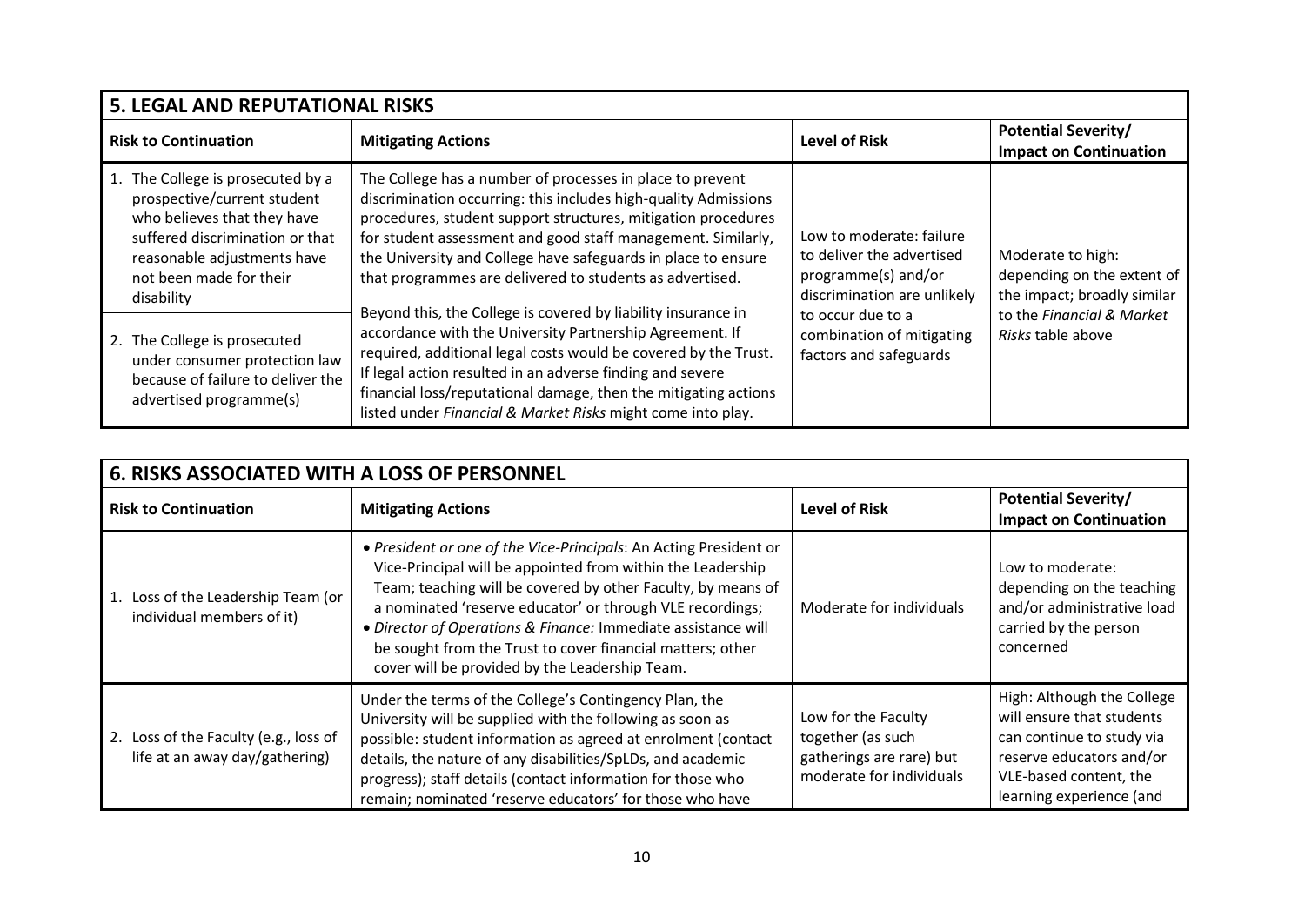| <b>5. LEGAL AND REPUTATIONAL RISKS</b>                                                                                                                                                                  |                                                                                                                                                                                                                                                                                                                                                                                             |                                                                                                             |                                                                                |
|---------------------------------------------------------------------------------------------------------------------------------------------------------------------------------------------------------|---------------------------------------------------------------------------------------------------------------------------------------------------------------------------------------------------------------------------------------------------------------------------------------------------------------------------------------------------------------------------------------------|-------------------------------------------------------------------------------------------------------------|--------------------------------------------------------------------------------|
| <b>Risk to Continuation</b>                                                                                                                                                                             | <b>Mitigating Actions</b>                                                                                                                                                                                                                                                                                                                                                                   | <b>Level of Risk</b>                                                                                        | <b>Potential Severity/</b><br><b>Impact on Continuation</b>                    |
| The College is prosecuted by a<br>prospective/current student<br>who believes that they have<br>suffered discrimination or that<br>reasonable adjustments have<br>not been made for their<br>disability | The College has a number of processes in place to prevent<br>discrimination occurring: this includes high-quality Admissions<br>procedures, student support structures, mitigation procedures<br>for student assessment and good staff management. Similarly,<br>the University and College have safeguards in place to ensure<br>that programmes are delivered to students as advertised.  | Low to moderate: failure<br>to deliver the advertised<br>programme(s) and/or<br>discrimination are unlikely | Moderate to high:<br>depending on the extent of<br>the impact; broadly similar |
| The College is prosecuted<br>2.<br>under consumer protection law<br>because of failure to deliver the<br>advertised programme(s)                                                                        | Beyond this, the College is covered by liability insurance in<br>accordance with the University Partnership Agreement. If<br>required, additional legal costs would be covered by the Trust.<br>If legal action resulted in an adverse finding and severe<br>financial loss/reputational damage, then the mitigating actions<br>listed under Financial & Market Risks might come into play. | to occur due to a<br>combination of mitigating<br>factors and safeguards                                    | to the Financial & Market<br>Risks table above                                 |

| <b>6. RISKS ASSOCIATED WITH A LOSS OF PERSONNEL</b>                     |                                                                                                                                                                                                                                                                                                                                                                                                                                                |                                                                                                  |                                                                                                                                                                        |
|-------------------------------------------------------------------------|------------------------------------------------------------------------------------------------------------------------------------------------------------------------------------------------------------------------------------------------------------------------------------------------------------------------------------------------------------------------------------------------------------------------------------------------|--------------------------------------------------------------------------------------------------|------------------------------------------------------------------------------------------------------------------------------------------------------------------------|
| <b>Risk to Continuation</b>                                             | <b>Mitigating Actions</b>                                                                                                                                                                                                                                                                                                                                                                                                                      | <b>Level of Risk</b>                                                                             | <b>Potential Severity/</b><br><b>Impact on Continuation</b>                                                                                                            |
| 1. Loss of the Leadership Team (or<br>individual members of it)         | . President or one of the Vice-Principals: An Acting President or<br>Vice-Principal will be appointed from within the Leadership<br>Team; teaching will be covered by other Faculty, by means of<br>a nominated 'reserve educator' or through VLE recordings;<br>· Director of Operations & Finance: Immediate assistance will<br>be sought from the Trust to cover financial matters; other<br>cover will be provided by the Leadership Team. | Moderate for individuals                                                                         | Low to moderate:<br>depending on the teaching<br>and/or administrative load<br>carried by the person<br>concerned                                                      |
| 2. Loss of the Faculty (e.g., loss of<br>life at an away day/gathering) | Under the terms of the College's Contingency Plan, the<br>University will be supplied with the following as soon as<br>possible: student information as agreed at enrolment (contact<br>details, the nature of any disabilities/SpLDs, and academic<br>progress); staff details (contact information for those who<br>remain; nominated 'reserve educators' for those who have                                                                 | Low for the Faculty<br>together (as such<br>gatherings are rare) but<br>moderate for individuals | High: Although the College<br>will ensure that students<br>can continue to study via<br>reserve educators and/or<br>VLE-based content, the<br>learning experience (and |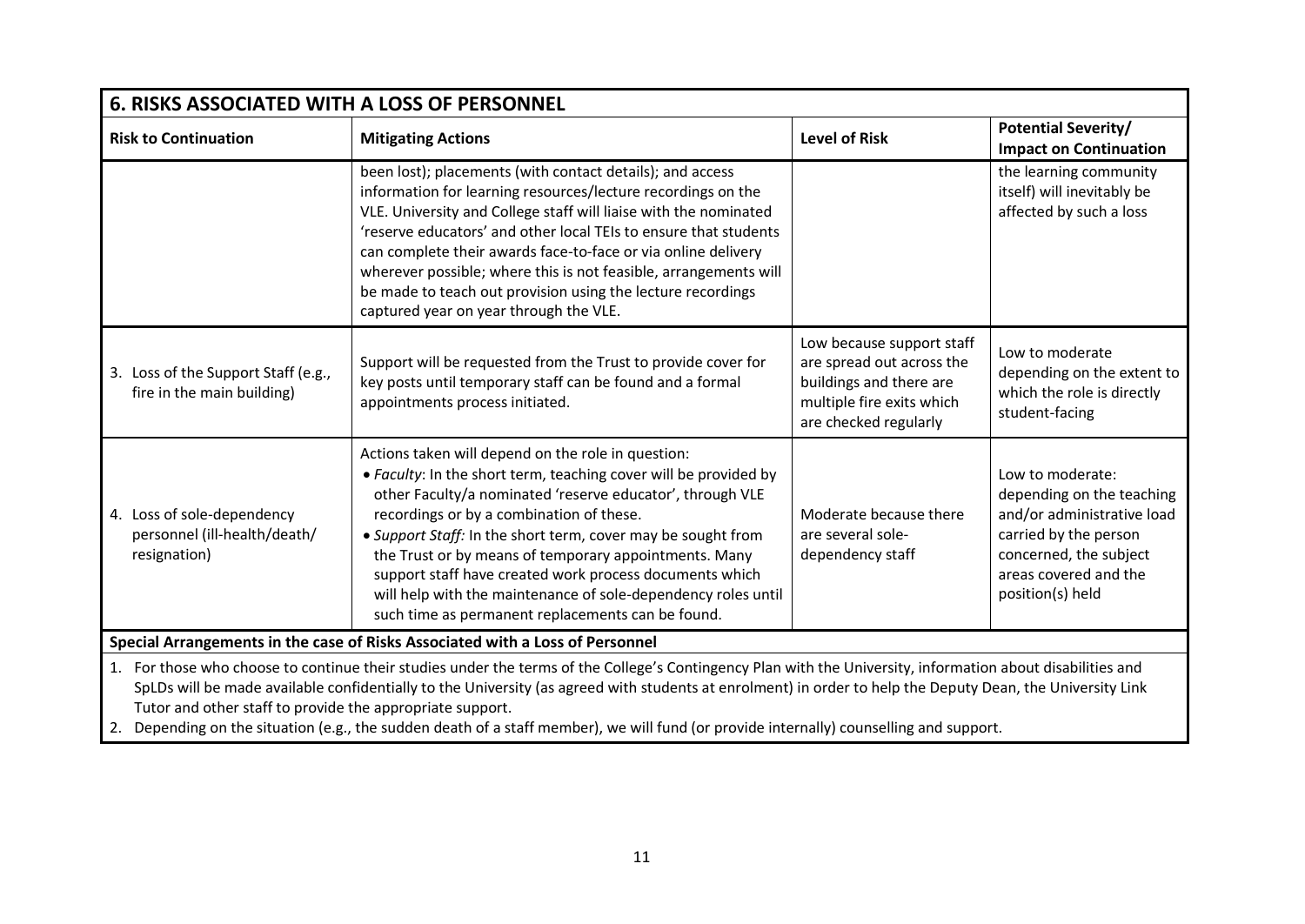| <b>6. RISKS ASSOCIATED WITH A LOSS OF PERSONNEL</b>                                                                                                                                                                                                                                                                                                                                                                                                                                                                               |                                                                                                                                                                                                                                                                                                                                                                                                                                                                                                                                           |                                                                                                                                         |                                                                                                                                                                             |
|-----------------------------------------------------------------------------------------------------------------------------------------------------------------------------------------------------------------------------------------------------------------------------------------------------------------------------------------------------------------------------------------------------------------------------------------------------------------------------------------------------------------------------------|-------------------------------------------------------------------------------------------------------------------------------------------------------------------------------------------------------------------------------------------------------------------------------------------------------------------------------------------------------------------------------------------------------------------------------------------------------------------------------------------------------------------------------------------|-----------------------------------------------------------------------------------------------------------------------------------------|-----------------------------------------------------------------------------------------------------------------------------------------------------------------------------|
| <b>Risk to Continuation</b>                                                                                                                                                                                                                                                                                                                                                                                                                                                                                                       | <b>Mitigating Actions</b>                                                                                                                                                                                                                                                                                                                                                                                                                                                                                                                 | <b>Level of Risk</b>                                                                                                                    | <b>Potential Severity/</b><br><b>Impact on Continuation</b>                                                                                                                 |
|                                                                                                                                                                                                                                                                                                                                                                                                                                                                                                                                   | been lost); placements (with contact details); and access<br>information for learning resources/lecture recordings on the<br>VLE. University and College staff will liaise with the nominated<br>'reserve educators' and other local TEIs to ensure that students<br>can complete their awards face-to-face or via online delivery<br>wherever possible; where this is not feasible, arrangements will<br>be made to teach out provision using the lecture recordings<br>captured year on year through the VLE.                           |                                                                                                                                         | the learning community<br>itself) will inevitably be<br>affected by such a loss                                                                                             |
| 3. Loss of the Support Staff (e.g.,<br>fire in the main building)                                                                                                                                                                                                                                                                                                                                                                                                                                                                 | Support will be requested from the Trust to provide cover for<br>key posts until temporary staff can be found and a formal<br>appointments process initiated.                                                                                                                                                                                                                                                                                                                                                                             | Low because support staff<br>are spread out across the<br>buildings and there are<br>multiple fire exits which<br>are checked regularly | Low to moderate<br>depending on the extent to<br>which the role is directly<br>student-facing                                                                               |
| 4. Loss of sole-dependency<br>personnel (ill-health/death/<br>resignation)                                                                                                                                                                                                                                                                                                                                                                                                                                                        | Actions taken will depend on the role in question:<br>• Faculty: In the short term, teaching cover will be provided by<br>other Faculty/a nominated 'reserve educator', through VLE<br>recordings or by a combination of these.<br>• Support Staff: In the short term, cover may be sought from<br>the Trust or by means of temporary appointments. Many<br>support staff have created work process documents which<br>will help with the maintenance of sole-dependency roles until<br>such time as permanent replacements can be found. | Moderate because there<br>are several sole-<br>dependency staff                                                                         | Low to moderate:<br>depending on the teaching<br>and/or administrative load<br>carried by the person<br>concerned, the subject<br>areas covered and the<br>position(s) held |
| Special Arrangements in the case of Risks Associated with a Loss of Personnel                                                                                                                                                                                                                                                                                                                                                                                                                                                     |                                                                                                                                                                                                                                                                                                                                                                                                                                                                                                                                           |                                                                                                                                         |                                                                                                                                                                             |
| 1. For those who choose to continue their studies under the terms of the College's Contingency Plan with the University, information about disabilities and<br>SpLDs will be made available confidentially to the University (as agreed with students at enrolment) in order to help the Deputy Dean, the University Link<br>Tutor and other staff to provide the appropriate support.<br>2. Depending on the situation (e.g., the sudden death of a staff member), we will fund (or provide internally) counselling and support. |                                                                                                                                                                                                                                                                                                                                                                                                                                                                                                                                           |                                                                                                                                         |                                                                                                                                                                             |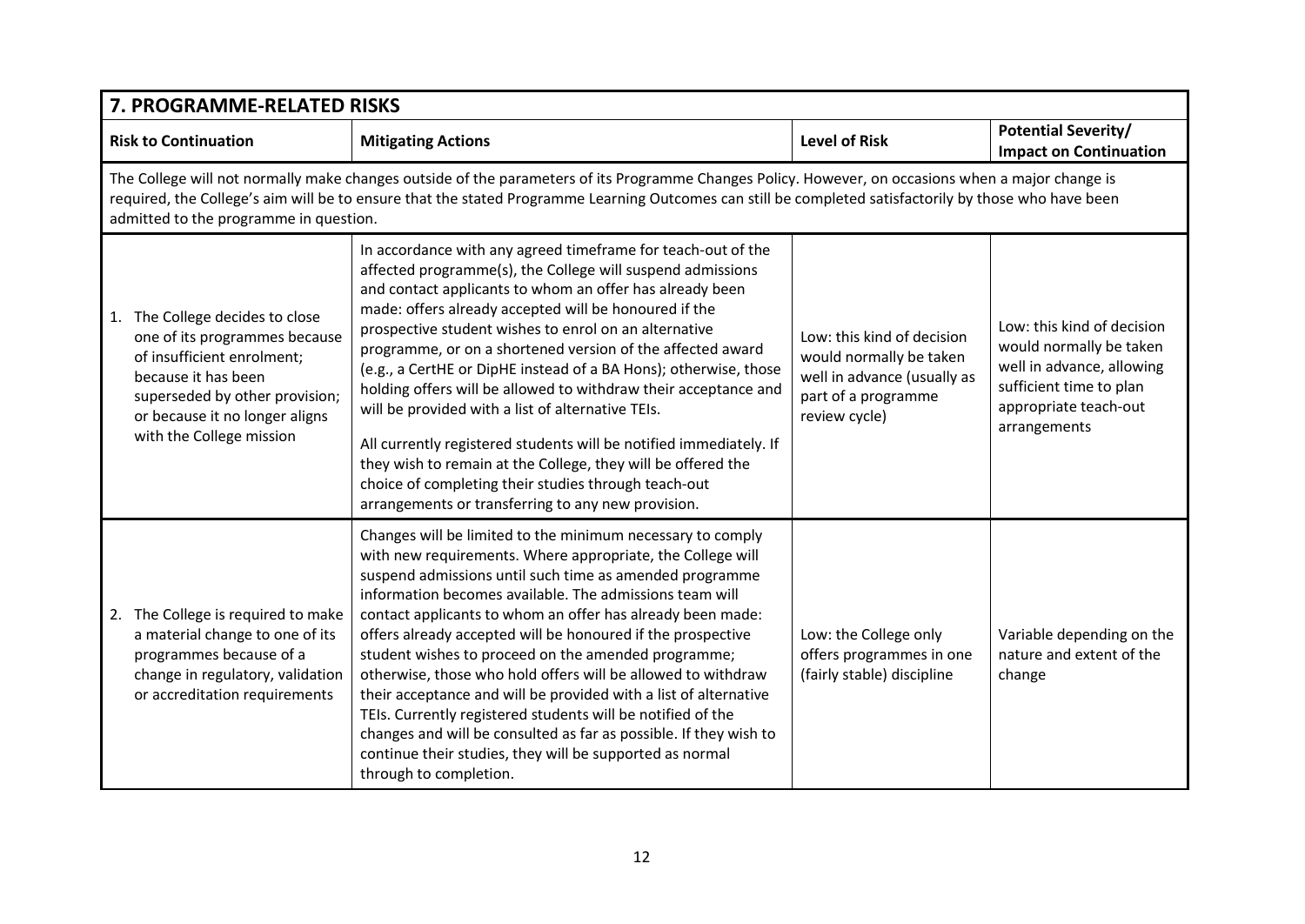| 7. PROGRAMME-RELATED RISKS                                                                                                                                                                                                                                                                                                                             |                                                                                                                                                                                                                                                                                                                                                                                                                                                                                                                                                                                                                                                                                                                                                                                                                        |                                                                                                                              |                                                                                                                                                        |  |
|--------------------------------------------------------------------------------------------------------------------------------------------------------------------------------------------------------------------------------------------------------------------------------------------------------------------------------------------------------|------------------------------------------------------------------------------------------------------------------------------------------------------------------------------------------------------------------------------------------------------------------------------------------------------------------------------------------------------------------------------------------------------------------------------------------------------------------------------------------------------------------------------------------------------------------------------------------------------------------------------------------------------------------------------------------------------------------------------------------------------------------------------------------------------------------------|------------------------------------------------------------------------------------------------------------------------------|--------------------------------------------------------------------------------------------------------------------------------------------------------|--|
| <b>Risk to Continuation</b>                                                                                                                                                                                                                                                                                                                            | <b>Mitigating Actions</b>                                                                                                                                                                                                                                                                                                                                                                                                                                                                                                                                                                                                                                                                                                                                                                                              | <b>Level of Risk</b>                                                                                                         | <b>Potential Severity/</b><br><b>Impact on Continuation</b>                                                                                            |  |
| The College will not normally make changes outside of the parameters of its Programme Changes Policy. However, on occasions when a major change is<br>required, the College's aim will be to ensure that the stated Programme Learning Outcomes can still be completed satisfactorily by those who have been<br>admitted to the programme in question. |                                                                                                                                                                                                                                                                                                                                                                                                                                                                                                                                                                                                                                                                                                                                                                                                                        |                                                                                                                              |                                                                                                                                                        |  |
| 1. The College decides to close<br>one of its programmes because<br>of insufficient enrolment;<br>because it has been<br>superseded by other provision;<br>or because it no longer aligns<br>with the College mission                                                                                                                                  | In accordance with any agreed timeframe for teach-out of the<br>affected programme(s), the College will suspend admissions<br>and contact applicants to whom an offer has already been<br>made: offers already accepted will be honoured if the<br>prospective student wishes to enrol on an alternative<br>programme, or on a shortened version of the affected award<br>(e.g., a CertHE or DipHE instead of a BA Hons); otherwise, those<br>holding offers will be allowed to withdraw their acceptance and<br>will be provided with a list of alternative TEIs.<br>All currently registered students will be notified immediately. If<br>they wish to remain at the College, they will be offered the<br>choice of completing their studies through teach-out<br>arrangements or transferring to any new provision. | Low: this kind of decision<br>would normally be taken<br>well in advance (usually as<br>part of a programme<br>review cycle) | Low: this kind of decision<br>would normally be taken<br>well in advance, allowing<br>sufficient time to plan<br>appropriate teach-out<br>arrangements |  |
| 2. The College is required to make<br>a material change to one of its<br>programmes because of a<br>change in regulatory, validation<br>or accreditation requirements                                                                                                                                                                                  | Changes will be limited to the minimum necessary to comply<br>with new requirements. Where appropriate, the College will<br>suspend admissions until such time as amended programme<br>information becomes available. The admissions team will<br>contact applicants to whom an offer has already been made:<br>offers already accepted will be honoured if the prospective<br>student wishes to proceed on the amended programme;<br>otherwise, those who hold offers will be allowed to withdraw<br>their acceptance and will be provided with a list of alternative<br>TEIs. Currently registered students will be notified of the<br>changes and will be consulted as far as possible. If they wish to<br>continue their studies, they will be supported as normal<br>through to completion.                       | Low: the College only<br>offers programmes in one<br>(fairly stable) discipline                                              | Variable depending on the<br>nature and extent of the<br>change                                                                                        |  |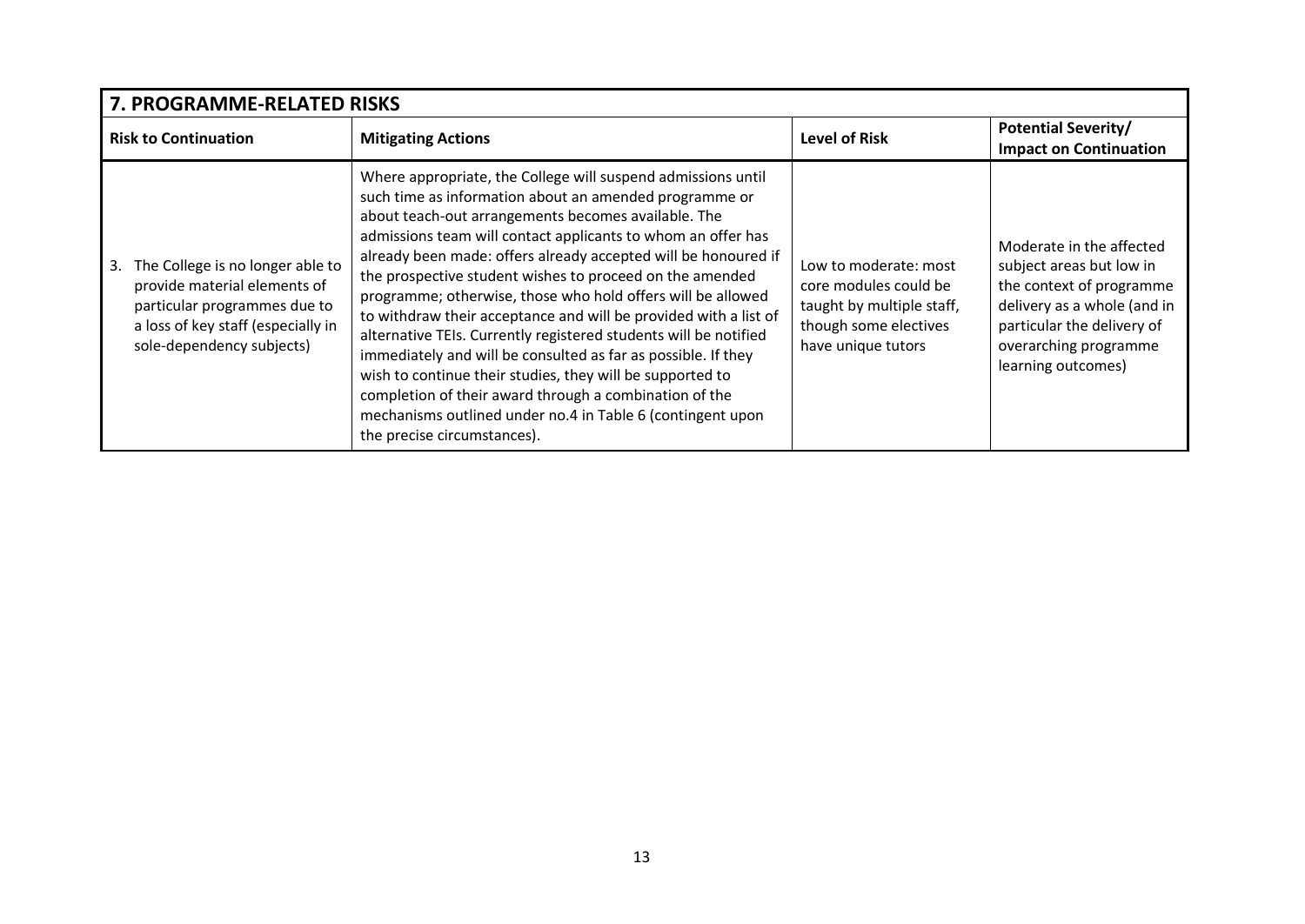| 7. PROGRAMME-RELATED RISKS                                                                                                                                          |                                                                                                                                                                                                                                                                                                                                                                                                                                                                                                                                                                                                                                                                                                                                                                                                                                                                         |                                                                                                                            |                                                                                                                                                                                              |  |  |
|---------------------------------------------------------------------------------------------------------------------------------------------------------------------|-------------------------------------------------------------------------------------------------------------------------------------------------------------------------------------------------------------------------------------------------------------------------------------------------------------------------------------------------------------------------------------------------------------------------------------------------------------------------------------------------------------------------------------------------------------------------------------------------------------------------------------------------------------------------------------------------------------------------------------------------------------------------------------------------------------------------------------------------------------------------|----------------------------------------------------------------------------------------------------------------------------|----------------------------------------------------------------------------------------------------------------------------------------------------------------------------------------------|--|--|
| <b>Risk to Continuation</b>                                                                                                                                         | <b>Mitigating Actions</b>                                                                                                                                                                                                                                                                                                                                                                                                                                                                                                                                                                                                                                                                                                                                                                                                                                               | <b>Level of Risk</b>                                                                                                       | <b>Potential Severity/</b><br><b>Impact on Continuation</b>                                                                                                                                  |  |  |
| The College is no longer able to<br>provide material elements of<br>particular programmes due to<br>a loss of key staff (especially in<br>sole-dependency subjects) | Where appropriate, the College will suspend admissions until<br>such time as information about an amended programme or<br>about teach-out arrangements becomes available. The<br>admissions team will contact applicants to whom an offer has<br>already been made: offers already accepted will be honoured if<br>the prospective student wishes to proceed on the amended<br>programme; otherwise, those who hold offers will be allowed<br>to withdraw their acceptance and will be provided with a list of<br>alternative TEIs. Currently registered students will be notified<br>immediately and will be consulted as far as possible. If they<br>wish to continue their studies, they will be supported to<br>completion of their award through a combination of the<br>mechanisms outlined under no.4 in Table 6 (contingent upon<br>the precise circumstances). | Low to moderate: most<br>core modules could be<br>taught by multiple staff,<br>though some electives<br>have unique tutors | Moderate in the affected<br>subject areas but low in<br>the context of programme<br>delivery as a whole (and in<br>particular the delivery of<br>overarching programme<br>learning outcomes) |  |  |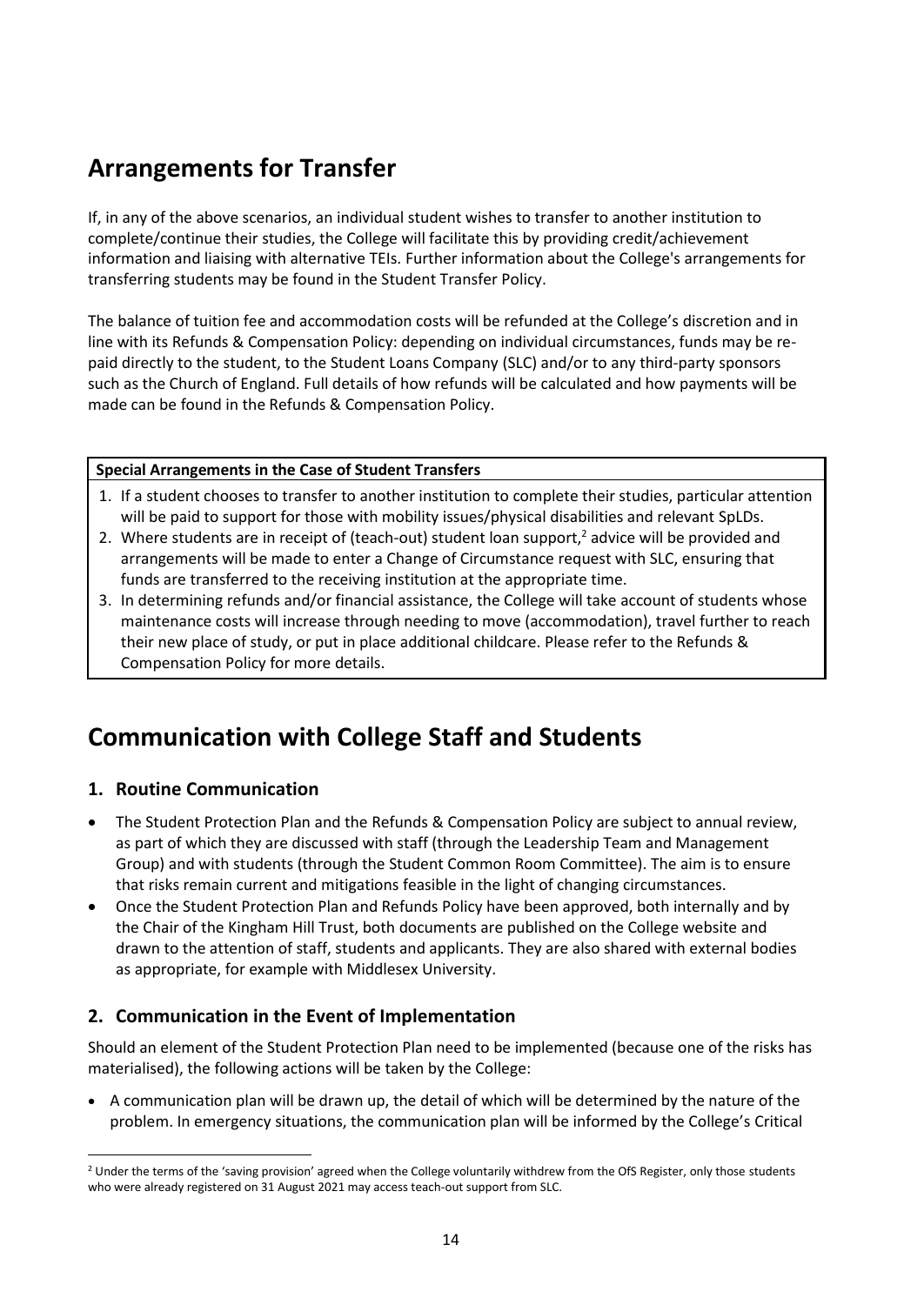# **Arrangements for Transfer**

If, in any of the above scenarios, an individual student wishes to transfer to another institution to complete/continue their studies, the College will facilitate this by providing credit/achievement information and liaising with alternative TEIs. Further information about the College's arrangements for transferring students may be found in the Student Transfer Policy.

The balance of tuition fee and accommodation costs will be refunded at the College's discretion and in line with its Refunds & Compensation Policy: depending on individual circumstances, funds may be repaid directly to the student, to the Student Loans Company (SLC) and/or to any third-party sponsors such as the Church of England. Full details of how refunds will be calculated and how payments will be made can be found in the Refunds & Compensation Policy.

#### **Special Arrangements in the Case of Student Transfers**

- 1. If a student chooses to transfer to another institution to complete their studies, particular attention will be paid to support for those with mobility issues/physical disabilities and relevant SpLDs.
- 2. Where students are in receipt of (teach-out) student loan support,<sup>2</sup> advice will be provided and arrangements will be made to enter a Change of Circumstance request with SLC, ensuring that funds are transferred to the receiving institution at the appropriate time.
- 3. In determining refunds and/or financial assistance, the College will take account of students whose maintenance costs will increase through needing to move (accommodation), travel further to reach their new place of study, or put in place additional childcare. Please refer to the Refunds & Compensation Policy for more details.

# **Communication with College Staff and Students**

#### **1. Routine Communication**

- The Student Protection Plan and the Refunds & Compensation Policy are subject to annual review, as part of which they are discussed with staff (through the Leadership Team and Management Group) and with students (through the Student Common Room Committee). The aim is to ensure that risks remain current and mitigations feasible in the light of changing circumstances.
- Once the Student Protection Plan and Refunds Policy have been approved, both internally and by the Chair of the Kingham Hill Trust, both documents are published on the College website and drawn to the attention of staff, students and applicants. They are also shared with external bodies as appropriate, for example with Middlesex University.

#### **2. Communication in the Event of Implementation**

Should an element of the Student Protection Plan need to be implemented (because one of the risks has materialised), the following actions will be taken by the College:

• A communication plan will be drawn up, the detail of which will be determined by the nature of the problem. In emergency situations, the communication plan will be informed by the College's Critical

<sup>&</sup>lt;sup>2</sup> Under the terms of the 'saving provision' agreed when the College voluntarily withdrew from the OfS Register, only those students who were already registered on 31 August 2021 may access teach-out support from SLC.